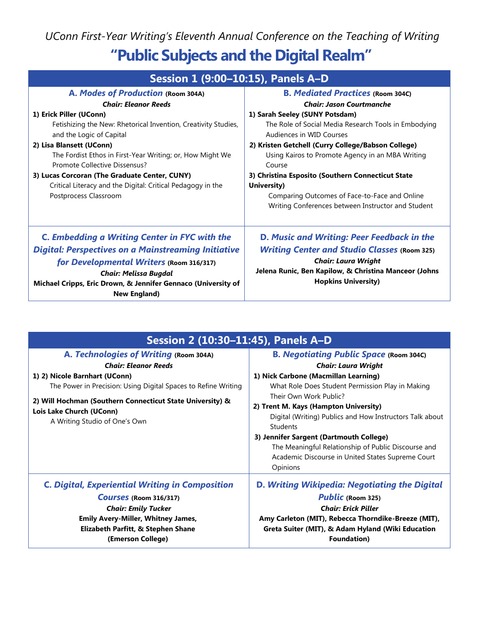*UConn First-Year Writing's Eleventh Annual Conference on the Teaching of Writing* **"Public Subjects and the Digital Realm"**

| Session 1 (9:00-10:15), Panels A-D                                                                                                                                                                                                                                                                                                                                                       |                                                                                                                                                                                                                                                                                                                                                                                                                   |
|------------------------------------------------------------------------------------------------------------------------------------------------------------------------------------------------------------------------------------------------------------------------------------------------------------------------------------------------------------------------------------------|-------------------------------------------------------------------------------------------------------------------------------------------------------------------------------------------------------------------------------------------------------------------------------------------------------------------------------------------------------------------------------------------------------------------|
| A. Modes of Production (Room 304A)<br><b>Chair: Eleanor Reeds</b>                                                                                                                                                                                                                                                                                                                        | <b>B. Mediated Practices (Room 304C)</b><br><b>Chair: Jason Courtmanche</b>                                                                                                                                                                                                                                                                                                                                       |
| 1) Erick Piller (UConn)<br>Fetishizing the New: Rhetorical Invention, Creativity Studies,<br>and the Logic of Capital<br>2) Lisa Blansett (UConn)<br>The Fordist Ethos in First-Year Writing; or, How Might We<br>Promote Collective Dissensus?<br>3) Lucas Corcoran (The Graduate Center, CUNY)<br>Critical Literacy and the Digital: Critical Pedagogy in the<br>Postprocess Classroom | 1) Sarah Seeley (SUNY Potsdam)<br>The Role of Social Media Research Tools in Embodying<br>Audiences in WID Courses<br>2) Kristen Getchell (Curry College/Babson College)<br>Using Kairos to Promote Agency in an MBA Writing<br>Course<br>3) Christina Esposito (Southern Connecticut State<br>University)<br>Comparing Outcomes of Face-to-Face and Online<br>Writing Conferences between Instructor and Student |
| <b>C. Embedding a Writing Center in FYC with the</b><br><b>Digital: Perspectives on a Mainstreaming Initiative</b><br>for Developmental Writers (Room 316/317)<br><b>Chair: Melissa Bugdal</b><br>Michael Cripps, Eric Drown, & Jennifer Gennaco (University of<br><b>New England)</b>                                                                                                   | D. Music and Writing: Peer Feedback in the<br><b>Writing Center and Studio Classes (Room 325)</b><br><b>Chair: Laura Wright</b><br>Jelena Runic, Ben Kapilow, & Christina Manceor (Johns<br><b>Hopkins University)</b>                                                                                                                                                                                            |

| Session 2 (10:30-11:45), Panels A-D                                                                                                                                                                                                                                                                |                                                                                                                                                                                                                                                                                                                                                                                                                                                                                               |
|----------------------------------------------------------------------------------------------------------------------------------------------------------------------------------------------------------------------------------------------------------------------------------------------------|-----------------------------------------------------------------------------------------------------------------------------------------------------------------------------------------------------------------------------------------------------------------------------------------------------------------------------------------------------------------------------------------------------------------------------------------------------------------------------------------------|
| A. Technologies of Writing (Room 304A)<br><b>Chair: Eleanor Reeds</b><br>1) 2) Nicole Barnhart (UConn)<br>The Power in Precision: Using Digital Spaces to Refine Writing<br>2) Will Hochman (Southern Connecticut State University) &<br>Lois Lake Church (UConn)<br>A Writing Studio of One's Own | <b>B. Negotiating Public Space (Room 304C)</b><br><b>Chair: Laura Wright</b><br>1) Nick Carbone (Macmillan Learning)<br>What Role Does Student Permission Play in Making<br>Their Own Work Public?<br>2) Trent M. Kays (Hampton University)<br>Digital (Writing) Publics and How Instructors Talk about<br><b>Students</b><br>3) Jennifer Sargent (Dartmouth College)<br>The Meaningful Relationship of Public Discourse and<br>Academic Discourse in United States Supreme Court<br>Opinions |
| <b>C. Digital, Experiential Writing in Composition</b><br>Courses (Room 316/317)<br><b>Chair: Emily Tucker</b><br><b>Emily Avery-Miller, Whitney James,</b><br>Elizabeth Parfitt, & Stephen Shane<br>(Emerson College)                                                                             | D. Writing Wikipedia: Negotiating the Digital<br><b>Public (Room 325)</b><br><b>Chair: Erick Piller</b><br>Amy Carleton (MIT), Rebecca Thorndike-Breeze (MIT),<br>Greta Suiter (MIT), & Adam Hyland (Wiki Education<br><b>Foundation</b> )                                                                                                                                                                                                                                                    |